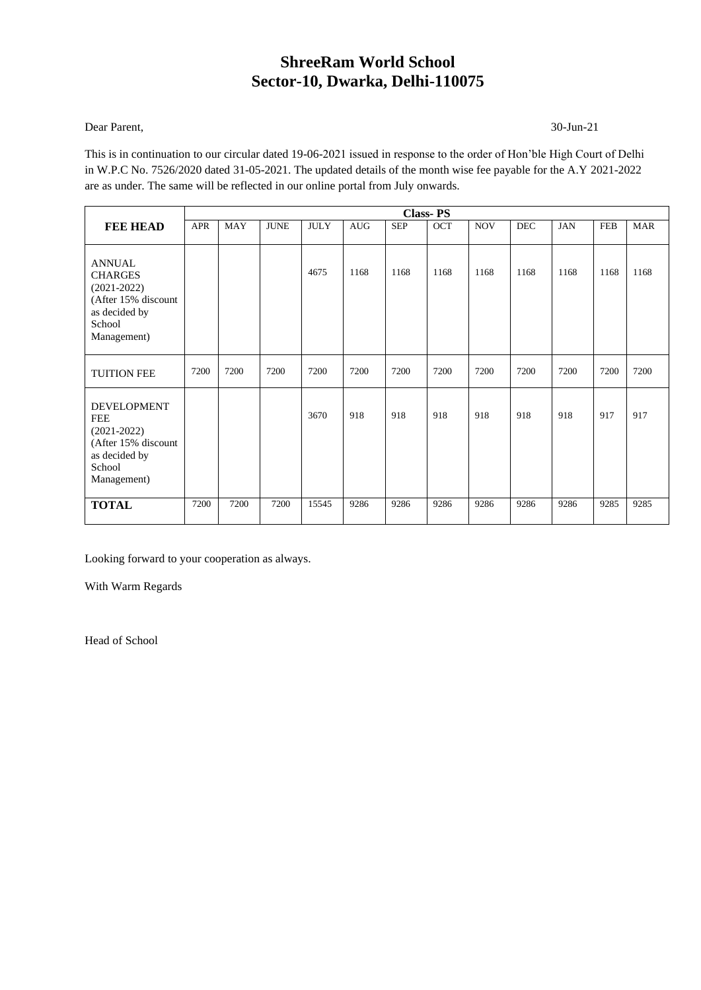#### Dear Parent, 30-Jun-21

This is in continuation to our circular dated 19-06-2021 issued in response to the order of Hon'ble High Court of Delhi in W.P.C No. 7526/2020 dated 31-05-2021. The updated details of the month wise fee payable for the A.Y 2021-2022 are as under. The same will be reflected in our online portal from July onwards.

|                                                                                                                     |      |            |             |             |            |            | <b>Class-PS</b> |            |      |            |            |            |
|---------------------------------------------------------------------------------------------------------------------|------|------------|-------------|-------------|------------|------------|-----------------|------------|------|------------|------------|------------|
| <b>FEE HEAD</b>                                                                                                     | APR  | <b>MAY</b> | <b>JUNE</b> | <b>JULY</b> | <b>AUG</b> | <b>SEP</b> | OCT             | <b>NOV</b> | DEC  | <b>JAN</b> | <b>FEB</b> | <b>MAR</b> |
| <b>ANNUAL</b><br><b>CHARGES</b><br>$(2021 - 2022)$<br>(After 15% discount<br>as decided by<br>School<br>Management) |      |            |             | 4675        | 1168       | 1168       | 1168            | 1168       | 1168 | 1168       | 1168       | 1168       |
| <b>TUITION FEE</b>                                                                                                  | 7200 | 7200       | 7200        | 7200        | 7200       | 7200       | 7200            | 7200       | 7200 | 7200       | 7200       | 7200       |
| <b>DEVELOPMENT</b><br><b>FEE</b><br>$(2021-2022)$<br>(After 15% discount<br>as decided by<br>School<br>Management)  |      |            |             | 3670        | 918        | 918        | 918             | 918        | 918  | 918        | 917        | 917        |
| <b>TOTAL</b>                                                                                                        | 7200 | 7200       | 7200        | 15545       | 9286       | 9286       | 9286            | 9286       | 9286 | 9286       | 9285       | 9285       |

Looking forward to your cooperation as always.

With Warm Regards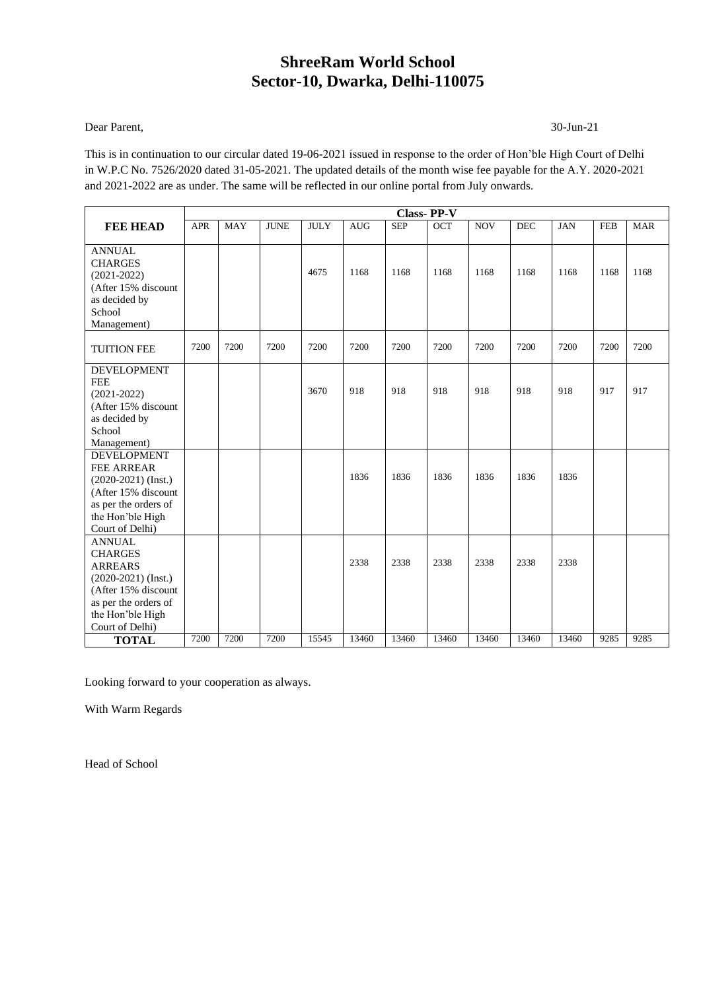#### Dear Parent, 30-Jun-21

This is in continuation to our circular dated 19-06-2021 issued in response to the order of Hon'ble High Court of Delhi in W.P.C No. 7526/2020 dated 31-05-2021. The updated details of the month wise fee payable for the A.Y. 2020-2021 and 2021-2022 are as under. The same will be reflected in our online portal from July onwards.

|                                                                                                                                                                  |            |            |             |             |            |            | <b>Class-PP-V</b> |            |            |            |            |            |
|------------------------------------------------------------------------------------------------------------------------------------------------------------------|------------|------------|-------------|-------------|------------|------------|-------------------|------------|------------|------------|------------|------------|
| <b>FEE HEAD</b>                                                                                                                                                  | <b>APR</b> | <b>MAY</b> | <b>JUNE</b> | <b>JULY</b> | <b>AUG</b> | <b>SEP</b> | OCT               | <b>NOV</b> | <b>DEC</b> | <b>JAN</b> | <b>FEB</b> | <b>MAR</b> |
| <b>ANNUAL</b><br><b>CHARGES</b><br>$(2021 - 2022)$<br>(After 15% discount<br>as decided by<br>School<br>Management)                                              |            |            |             | 4675        | 1168       | 1168       | 1168              | 1168       | 1168       | 1168       | 1168       | 1168       |
| <b>TUITION FEE</b>                                                                                                                                               | 7200       | 7200       | 7200        | 7200        | 7200       | 7200       | 7200              | 7200       | 7200       | 7200       | 7200       | 7200       |
| <b>DEVELOPMENT</b><br><b>FEE</b><br>$(2021 - 2022)$<br>(After 15% discount<br>as decided by<br>School<br>Management)                                             |            |            |             | 3670        | 918        | 918        | 918               | 918        | 918        | 918        | 917        | 917        |
| <b>DEVELOPMENT</b><br><b>FEE ARREAR</b><br>$(2020-2021)$ (Inst.)<br>(After 15% discount<br>as per the orders of<br>the Hon'ble High<br>Court of Delhi)           |            |            |             |             | 1836       | 1836       | 1836              | 1836       | 1836       | 1836       |            |            |
| <b>ANNUAL</b><br><b>CHARGES</b><br><b>ARREARS</b><br>$(2020-2021)$ (Inst.)<br>(After 15% discount<br>as per the orders of<br>the Hon'ble High<br>Court of Delhi) |            |            |             |             | 2338       | 2338       | 2338              | 2338       | 2338       | 2338       |            |            |
| <b>TOTAL</b>                                                                                                                                                     | 7200       | 7200       | 7200        | 15545       | 13460      | 13460      | 13460             | 13460      | 13460      | 13460      | 9285       | 9285       |

Looking forward to your cooperation as always.

With Warm Regards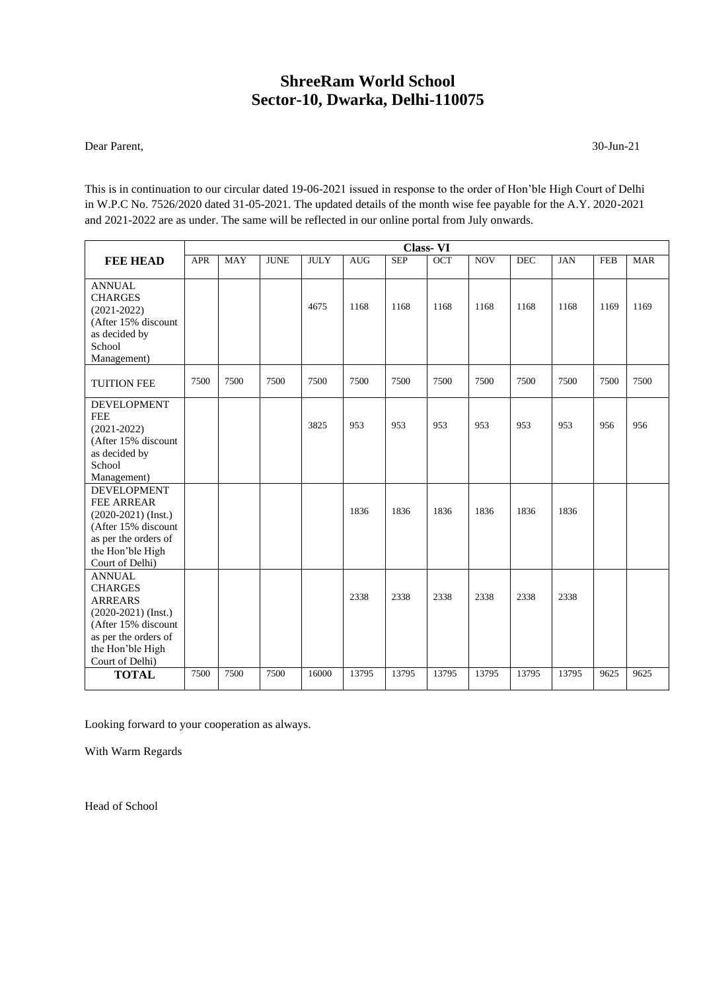Dear Parent, 30-Jun-21

This is in continuation to our circular dated 19-06-2021 issued in response to the order of Hon'ble High Court of Delhi in W.P.C No. 7526/2020 dated 31-05-2021. The updated details of the month wise fee payable for the A.Y. 2020-2021 and 2021-2022 are as under. The same will be reflected in our online portal from July onwards.

|                                                                                                                                                                  | <b>Class-VI</b> |            |             |             |            |            |            |            |            |            |            |            |
|------------------------------------------------------------------------------------------------------------------------------------------------------------------|-----------------|------------|-------------|-------------|------------|------------|------------|------------|------------|------------|------------|------------|
| <b>FEE HEAD</b>                                                                                                                                                  | <b>APR</b>      | <b>MAY</b> | <b>JUNE</b> | <b>JULY</b> | <b>AUG</b> | <b>SEP</b> | <b>OCT</b> | <b>NOV</b> | <b>DEC</b> | <b>JAN</b> | <b>FEB</b> | <b>MAR</b> |
| <b>ANNUAL</b><br><b>CHARGES</b><br>$(2021 - 2022)$<br>(After 15% discount<br>as decided by<br>School<br>Management)                                              |                 |            |             | 4675        | 1168       | 1168       | 1168       | 1168       | 1168       | 1168       | 1169       | 1169       |
| <b>TUITION FEE</b>                                                                                                                                               | 7500            | 7500       | 7500        | 7500        | 7500       | 7500       | 7500       | 7500       | 7500       | 7500       | 7500       | 7500       |
| <b>DEVELOPMENT</b><br><b>FEE</b><br>$(2021 - 2022)$<br>(After 15% discount<br>as decided by<br>School<br>Management)                                             |                 |            |             | 3825        | 953        | 953        | 953        | 953        | 953        | 953        | 956        | 956        |
| <b>DEVELOPMENT</b><br><b>FEE ARREAR</b><br>$(2020-2021)$ (Inst.)<br>(After 15% discount<br>as per the orders of<br>the Hon'ble High<br>Court of Delhi)           |                 |            |             |             | 1836       | 1836       | 1836       | 1836       | 1836       | 1836       |            |            |
| <b>ANNUAL</b><br><b>CHARGES</b><br><b>ARREARS</b><br>$(2020-2021)$ (Inst.)<br>(After 15% discount<br>as per the orders of<br>the Hon'ble High<br>Court of Delhi) |                 |            |             |             | 2338       | 2338       | 2338       | 2338       | 2338       | 2338       |            |            |
| <b>TOTAL</b>                                                                                                                                                     | 7500            | 7500       | 7500        | 16000       | 13795      | 13795      | 13795      | 13795      | 13795      | 13795      | 9625       | 9625       |

Looking forward to your cooperation as always.

With Warm Regards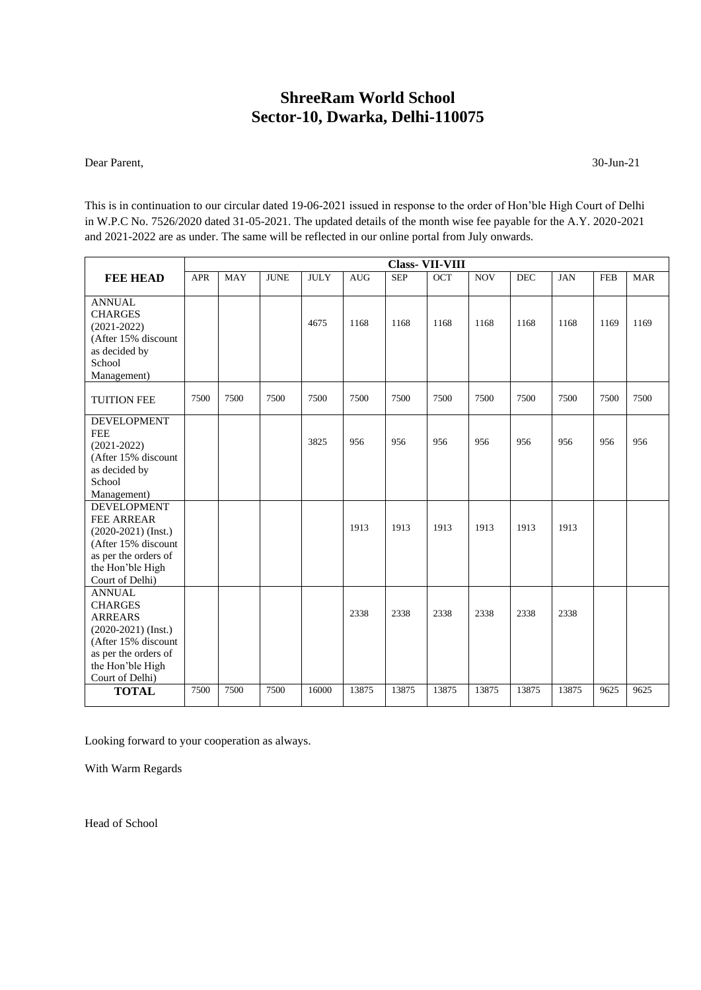Dear Parent, 30-Jun-21

This is in continuation to our circular dated 19-06-2021 issued in response to the order of Hon'ble High Court of Delhi in W.P.C No. 7526/2020 dated 31-05-2021. The updated details of the month wise fee payable for the A.Y. 2020-2021 and 2021-2022 are as under. The same will be reflected in our online portal from July onwards.

|                                                                                                                                                                  |            |            |             |             |            |            | <b>Class-VII-VIII</b> |            |            |            |            |            |
|------------------------------------------------------------------------------------------------------------------------------------------------------------------|------------|------------|-------------|-------------|------------|------------|-----------------------|------------|------------|------------|------------|------------|
| <b>FEE HEAD</b>                                                                                                                                                  | <b>APR</b> | <b>MAY</b> | <b>JUNE</b> | <b>JULY</b> | <b>AUG</b> | <b>SEP</b> | $\overline{OCT}$      | <b>NOV</b> | <b>DEC</b> | <b>JAN</b> | <b>FEB</b> | <b>MAR</b> |
| <b>ANNUAL</b><br><b>CHARGES</b><br>$(2021 - 2022)$<br>(After 15% discount<br>as decided by<br>School<br>Management)                                              |            |            |             | 4675        | 1168       | 1168       | 1168                  | 1168       | 1168       | 1168       | 1169       | 1169       |
| <b>TUITION FEE</b>                                                                                                                                               | 7500       | 7500       | 7500        | 7500        | 7500       | 7500       | 7500                  | 7500       | 7500       | 7500       | 7500       | 7500       |
| <b>DEVELOPMENT</b><br><b>FEE</b><br>$(2021 - 2022)$<br>(After 15% discount<br>as decided by<br>School<br>Management)                                             |            |            |             | 3825        | 956        | 956        | 956                   | 956        | 956        | 956        | 956        | 956        |
| <b>DEVELOPMENT</b><br>FEE ARREAR<br>$(2020-2021)$ (Inst.)<br>(After 15% discount<br>as per the orders of<br>the Hon'ble High<br>Court of Delhi)                  |            |            |             |             | 1913       | 1913       | 1913                  | 1913       | 1913       | 1913       |            |            |
| <b>ANNUAL</b><br><b>CHARGES</b><br><b>ARREARS</b><br>$(2020-2021)$ (Inst.)<br>(After 15% discount<br>as per the orders of<br>the Hon'ble High<br>Court of Delhi) |            |            |             |             | 2338       | 2338       | 2338                  | 2338       | 2338       | 2338       |            |            |
| <b>TOTAL</b>                                                                                                                                                     | 7500       | 7500       | 7500        | 16000       | 13875      | 13875      | 13875                 | 13875      | 13875      | 13875      | 9625       | 9625       |

Looking forward to your cooperation as always.

With Warm Regards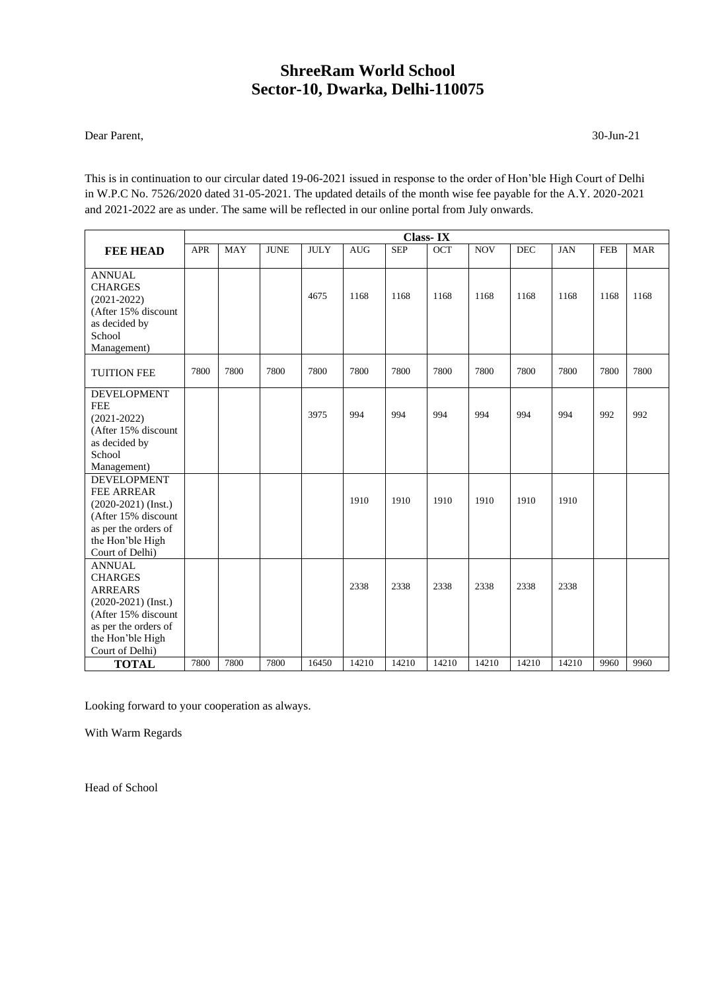#### Dear Parent, 30-Jun-21

This is in continuation to our circular dated 19-06-2021 issued in response to the order of Hon'ble High Court of Delhi in W.P.C No. 7526/2020 dated 31-05-2021. The updated details of the month wise fee payable for the A.Y. 2020-2021 and 2021-2022 are as under. The same will be reflected in our online portal from July onwards.

|                                                                                                                                                                  | <b>Class-IX</b> |            |             |             |            |            |       |            |            |            |            |            |
|------------------------------------------------------------------------------------------------------------------------------------------------------------------|-----------------|------------|-------------|-------------|------------|------------|-------|------------|------------|------------|------------|------------|
| <b>FEE HEAD</b>                                                                                                                                                  | <b>APR</b>      | <b>MAY</b> | <b>JUNE</b> | <b>JULY</b> | <b>AUG</b> | <b>SEP</b> | OCT   | <b>NOV</b> | <b>DEC</b> | <b>JAN</b> | <b>FEB</b> | <b>MAR</b> |
| <b>ANNUAL</b><br><b>CHARGES</b><br>$(2021 - 2022)$<br>(After 15% discount<br>as decided by<br>School<br>Management)                                              |                 |            |             | 4675        | 1168       | 1168       | 1168  | 1168       | 1168       | 1168       | 1168       | 1168       |
| <b>TUITION FEE</b>                                                                                                                                               | 7800            | 7800       | 7800        | 7800        | 7800       | 7800       | 7800  | 7800       | 7800       | 7800       | 7800       | 7800       |
| <b>DEVELOPMENT</b><br><b>FEE</b><br>$(2021 - 2022)$<br>(After 15% discount<br>as decided by<br>School<br>Management)                                             |                 |            |             | 3975        | 994        | 994        | 994   | 994        | 994        | 994        | 992        | 992        |
| <b>DEVELOPMENT</b><br><b>FEE ARREAR</b><br>$(2020-2021)$ (Inst.)<br>(After 15% discount<br>as per the orders of<br>the Hon'ble High<br>Court of Delhi)           |                 |            |             |             | 1910       | 1910       | 1910  | 1910       | 1910       | 1910       |            |            |
| <b>ANNUAL</b><br><b>CHARGES</b><br><b>ARREARS</b><br>$(2020-2021)$ (Inst.)<br>(After 15% discount<br>as per the orders of<br>the Hon'ble High<br>Court of Delhi) |                 |            |             |             | 2338       | 2338       | 2338  | 2338       | 2338       | 2338       |            |            |
| <b>TOTAL</b>                                                                                                                                                     | 7800            | 7800       | 7800        | 16450       | 14210      | 14210      | 14210 | 14210      | 14210      | 14210      | 9960       | 9960       |

Looking forward to your cooperation as always.

With Warm Regards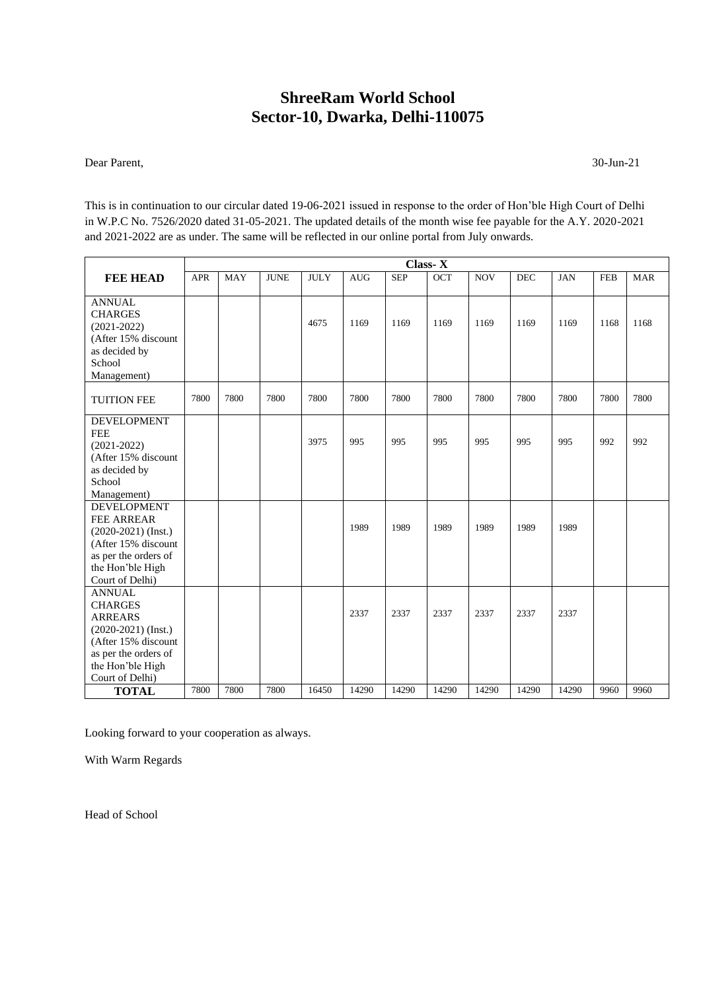Dear Parent, 30-Jun-21

This is in continuation to our circular dated 19-06-2021 issued in response to the order of Hon'ble High Court of Delhi in W.P.C No. 7526/2020 dated 31-05-2021. The updated details of the month wise fee payable for the A.Y. 2020-2021 and 2021-2022 are as under. The same will be reflected in our online portal from July onwards.

|                                                                                                                                                                  | <b>Class-X</b> |            |             |             |            |            |       |            |            |            |            |            |
|------------------------------------------------------------------------------------------------------------------------------------------------------------------|----------------|------------|-------------|-------------|------------|------------|-------|------------|------------|------------|------------|------------|
| <b>FEE HEAD</b>                                                                                                                                                  | <b>APR</b>     | <b>MAY</b> | <b>JUNE</b> | <b>JULY</b> | <b>AUG</b> | <b>SEP</b> | OCT   | <b>NOV</b> | <b>DEC</b> | <b>JAN</b> | <b>FEB</b> | <b>MAR</b> |
| <b>ANNUAL</b><br><b>CHARGES</b><br>$(2021 - 2022)$<br>(After 15% discount<br>as decided by<br>School<br>Management)                                              |                |            |             | 4675        | 1169       | 1169       | 1169  | 1169       | 1169       | 1169       | 1168       | 1168       |
| <b>TUITION FEE</b>                                                                                                                                               | 7800           | 7800       | 7800        | 7800        | 7800       | 7800       | 7800  | 7800       | 7800       | 7800       | 7800       | 7800       |
| <b>DEVELOPMENT</b><br><b>FEE</b><br>$(2021 - 2022)$<br>(After 15% discount<br>as decided by<br>School<br>Management)                                             |                |            |             | 3975        | 995        | 995        | 995   | 995        | 995        | 995        | 992        | 992        |
| <b>DEVELOPMENT</b><br>FEE ARREAR<br>$(2020-2021)$ (Inst.)<br>(After 15% discount<br>as per the orders of<br>the Hon'ble High<br>Court of Delhi)                  |                |            |             |             | 1989       | 1989       | 1989  | 1989       | 1989       | 1989       |            |            |
| <b>ANNUAL</b><br><b>CHARGES</b><br><b>ARREARS</b><br>$(2020-2021)$ (Inst.)<br>(After 15% discount<br>as per the orders of<br>the Hon'ble High<br>Court of Delhi) |                |            |             |             | 2337       | 2337       | 2337  | 2337       | 2337       | 2337       |            |            |
| <b>TOTAL</b>                                                                                                                                                     | 7800           | 7800       | 7800        | 16450       | 14290      | 14290      | 14290 | 14290      | 14290      | 14290      | 9960       | 9960       |

Looking forward to your cooperation as always.

With Warm Regards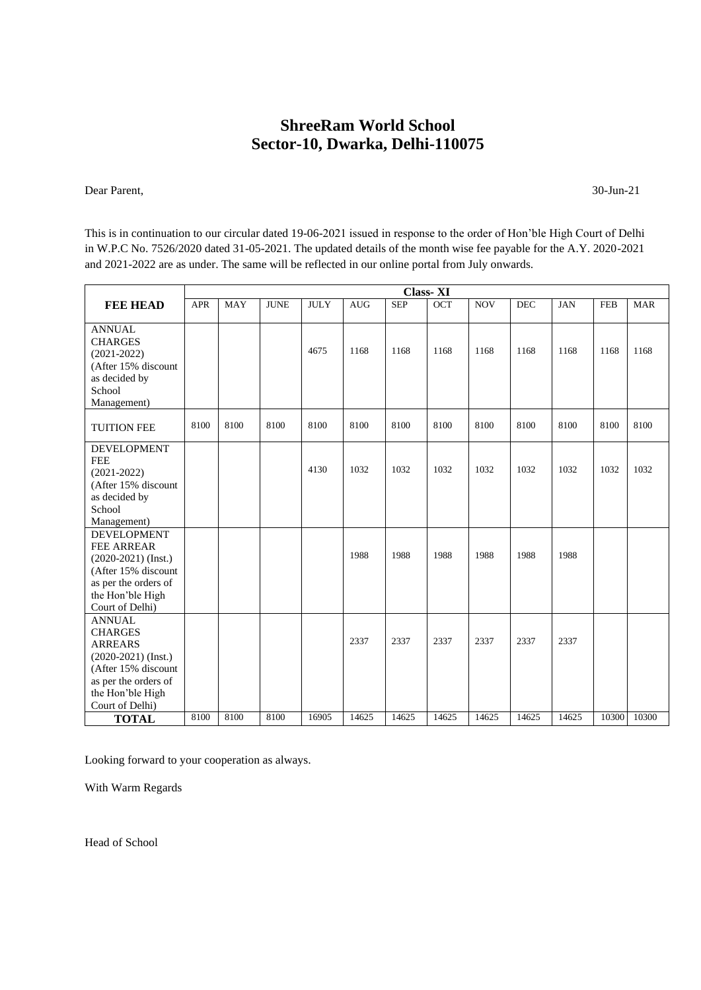Dear Parent, 30-Jun-21

This is in continuation to our circular dated 19-06-2021 issued in response to the order of Hon'ble High Court of Delhi in W.P.C No. 7526/2020 dated 31-05-2021. The updated details of the month wise fee payable for the A.Y. 2020-2021 and 2021-2022 are as under. The same will be reflected in our online portal from July onwards.

|                                                                                                                                                                       | <b>Class-XI</b> |            |             |             |            |            |       |            |            |            |            |            |
|-----------------------------------------------------------------------------------------------------------------------------------------------------------------------|-----------------|------------|-------------|-------------|------------|------------|-------|------------|------------|------------|------------|------------|
| <b>FEE HEAD</b>                                                                                                                                                       | <b>APR</b>      | <b>MAY</b> | <b>JUNE</b> | <b>JULY</b> | <b>AUG</b> | <b>SEP</b> | OCT   | <b>NOV</b> | <b>DEC</b> | <b>JAN</b> | <b>FEB</b> | <b>MAR</b> |
| <b>ANNUAL</b><br><b>CHARGES</b><br>$(2021 - 2022)$<br>(After 15% discount<br>as decided by<br>School<br>Management)                                                   |                 |            |             | 4675        | 1168       | 1168       | 1168  | 1168       | 1168       | 1168       | 1168       | 1168       |
| <b>TUITION FEE</b>                                                                                                                                                    | 8100            | 8100       | 8100        | 8100        | 8100       | 8100       | 8100  | 8100       | 8100       | 8100       | 8100       | 8100       |
| <b>DEVELOPMENT</b><br><b>FEE</b><br>$(2021 - 2022)$<br>(After 15% discount<br>as decided by<br>School                                                                 |                 |            |             | 4130        | 1032       | 1032       | 1032  | 1032       | 1032       | 1032       | 1032       | 1032       |
| Management)<br><b>DEVELOPMENT</b><br><b>FEE ARREAR</b><br>$(2020-2021)$ (Inst.)<br>(After 15% discount<br>as per the orders of<br>the Hon'ble High<br>Court of Delhi) |                 |            |             |             | 1988       | 1988       | 1988  | 1988       | 1988       | 1988       |            |            |
| <b>ANNUAL</b><br><b>CHARGES</b><br><b>ARREARS</b><br>$(2020-2021)$ (Inst.)<br>(After 15% discount<br>as per the orders of<br>the Hon'ble High<br>Court of Delhi)      |                 |            |             |             | 2337       | 2337       | 2337  | 2337       | 2337       | 2337       |            |            |
| <b>TOTAL</b>                                                                                                                                                          | 8100            | 8100       | 8100        | 16905       | 14625      | 14625      | 14625 | 14625      | 14625      | 14625      | 10300      | 10300      |

Looking forward to your cooperation as always.

With Warm Regards